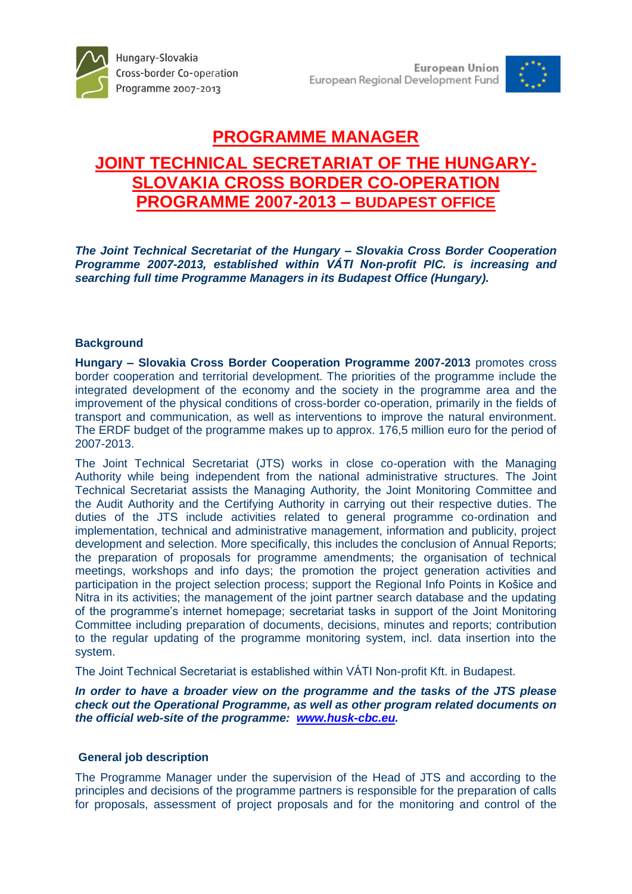

# **PROGRAMME MANAGER JOINT TECHNICAL SECRETARIAT OF THE HUNGARY-SLOVAKIA CROSS BORDER CO-OPERATION PROGRAMME 2007-2013 – BUDAPEST OFFICE**

*The Joint Technical Secretariat of the Hungary – Slovakia Cross Border Cooperation Programme 2007-2013, established within VÁTI Non-profit PlC. is increasing and searching full time Programme Managers in its Budapest Office (Hungary).* 

# **Background**

**Hungary – Slovakia Cross Border Cooperation Programme 2007-2013** promotes cross border cooperation and territorial development. The priorities of the programme include the integrated development of the economy and the society in the programme area and the improvement of the physical conditions of cross-border co-operation, primarily in the fields of transport and communication, as well as interventions to improve the natural environment. The ERDF budget of the programme makes up to approx. 176,5 million euro for the period of 2007-2013.

The Joint Technical Secretariat (JTS) works in close co-operation with the Managing Authority while being independent from the national administrative structures. The Joint Technical Secretariat assists the Managing Authority, the Joint Monitoring Committee and the Audit Authority and the Certifying Authority in carrying out their respective duties. The duties of the JTS include activities related to general programme co-ordination and implementation, technical and administrative management, information and publicity, project development and selection. More specifically, this includes the conclusion of Annual Reports; the preparation of proposals for programme amendments; the organisation of technical meetings, workshops and info days; the promotion the project generation activities and participation in the project selection process; support the Regional Info Points in Košice and Nitra in its activities; the management of the joint partner search database and the updating of the programme's internet homepage; secretariat tasks in support of the Joint Monitoring Committee including preparation of documents, decisions, minutes and reports; contribution to the regular updating of the programme monitoring system, incl. data insertion into the system.

The Joint Technical Secretariat is established within VÁTI Non-profit Kft. in Budapest.

*In order to have a broader view on the programme and the tasks of the JTS please check out the Operational Programme, as well as other program related documents on the official web-site of the programme: [www.husk-cbc.eu.](http://www.husk-cbc.eu/)*

#### **General job description**

The Programme Manager under the supervision of the Head of JTS and according to the principles and decisions of the programme partners is responsible for the preparation of calls for proposals, assessment of project proposals and for the monitoring and control of the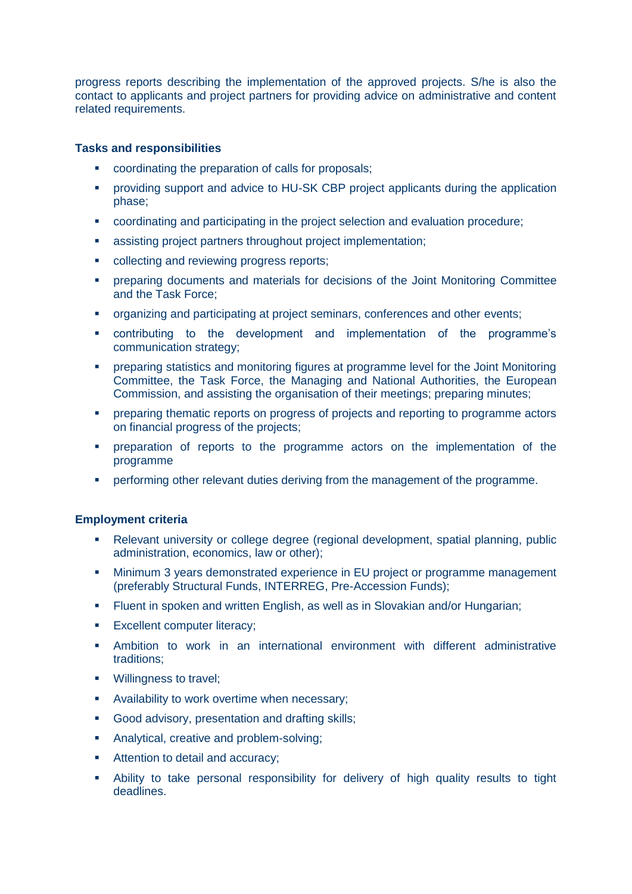progress reports describing the implementation of the approved projects. S/he is also the contact to applicants and project partners for providing advice on administrative and content related requirements.

# **Tasks and responsibilities**

- coordinating the preparation of calls for proposals;
- providing support and advice to HU-SK CBP project applicants during the application phase;
- coordinating and participating in the project selection and evaluation procedure;
- assisting project partners throughout project implementation;
- collecting and reviewing progress reports;
- **•** preparing documents and materials for decisions of the Joint Monitoring Committee and the Task Force;
- **•** organizing and participating at project seminars, conferences and other events;
- contributing to the development and implementation of the programme's communication strategy;
- preparing statistics and monitoring figures at programme level for the Joint Monitoring Committee, the Task Force, the Managing and National Authorities, the European Commission, and assisting the organisation of their meetings; preparing minutes;
- **•** preparing thematic reports on progress of projects and reporting to programme actors on financial progress of the projects;
- **•** preparation of reports to the programme actors on the implementation of the programme
- performing other relevant duties deriving from the management of the programme.

#### **Employment criteria**

- Relevant university or college degree (regional development, spatial planning, public administration, economics, law or other);
- **Minimum 3 years demonstrated experience in EU project or programme management** (preferably Structural Funds, INTERREG, Pre-Accession Funds);
- **Filuent in spoken and written English, as well as in Slovakian and/or Hungarian;**
- **Excellent computer literacy:**
- Ambition to work in an international environment with different administrative traditions;
- **Willingness to travel;**
- **Availability to work overtime when necessary;**
- Good advisory, presentation and drafting skills;
- **Analytical, creative and problem-solving;**
- **Attention to detail and accuracy;**
- Ability to take personal responsibility for delivery of high quality results to tight deadlines.